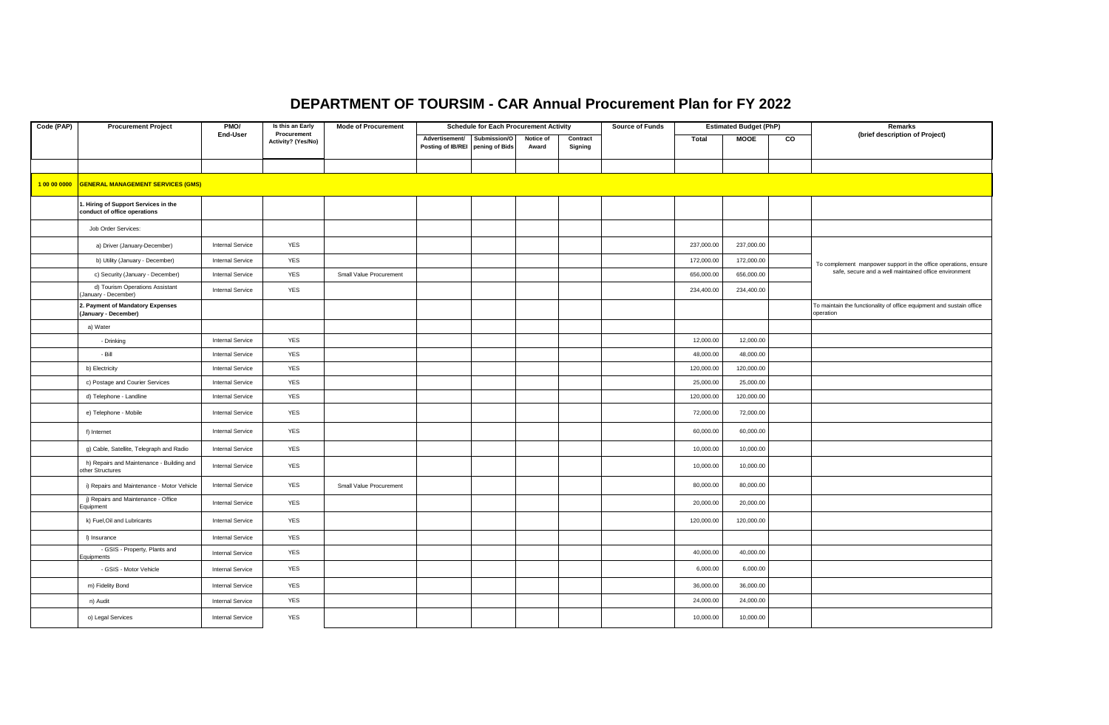## **DEPARTMENT OF TOURSIM - CAR Annual Procurement Plan for FY 2022**

| Code (PAP)   | <b>Procurement Project</b>                                          | PMO/                    | Is this an Early                  | <b>Mode of Procurement</b> | <b>Schedule for Each Procurement Activity</b>      |              |                    | <b>Source of Funds</b> |  | <b>Estimated Budget (PhP)</b> |             | Remarks |                                                                                   |
|--------------|---------------------------------------------------------------------|-------------------------|-----------------------------------|----------------------------|----------------------------------------------------|--------------|--------------------|------------------------|--|-------------------------------|-------------|---------|-----------------------------------------------------------------------------------|
|              |                                                                     | End-User                | Procurement<br>Activity? (Yes/No) |                            | Advertisement/<br>Posting of IB/REI pening of Bids | Submission/O | Notice of<br>Award | Contract<br>Signing    |  | Total                         | <b>MOOE</b> | CO      | (brief description of Project)                                                    |
|              |                                                                     |                         |                                   |                            |                                                    |              |                    |                        |  |                               |             |         |                                                                                   |
| 1 00 00 0000 | <b>GENERAL MANAGEMENT SERVICES (GMS)</b>                            |                         |                                   |                            |                                                    |              |                    |                        |  |                               |             |         |                                                                                   |
|              | . Hiring of Support Services in the<br>conduct of office operations |                         |                                   |                            |                                                    |              |                    |                        |  |                               |             |         |                                                                                   |
|              | Job Order Services:                                                 |                         |                                   |                            |                                                    |              |                    |                        |  |                               |             |         |                                                                                   |
|              | a) Driver (January-December)                                        | Internal Service        | <b>YES</b>                        |                            |                                                    |              |                    |                        |  | 237,000.00                    | 237,000.00  |         |                                                                                   |
|              | b) Utility (January - December)                                     | <b>Internal Service</b> | <b>YES</b>                        |                            |                                                    |              |                    |                        |  | 172,000.00                    | 172,000.00  |         | To complement manpower support in the office operations, ensure                   |
|              | c) Security (January - December)                                    | <b>Internal Service</b> | <b>YES</b>                        | Small Value Procurement    |                                                    |              |                    |                        |  | 656,000.00                    | 656,000.00  |         | safe, secure and a well maintained office environment                             |
|              | d) Tourism Operations Assistant<br>January - December)              | Internal Service        | <b>YES</b>                        |                            |                                                    |              |                    |                        |  | 234,400.00                    | 234,400.00  |         |                                                                                   |
|              | 2. Payment of Mandatory Expenses<br>(January - December)            |                         |                                   |                            |                                                    |              |                    |                        |  |                               |             |         | To maintain the functionality of office equipment and sustain office<br>operation |
|              | a) Water                                                            |                         |                                   |                            |                                                    |              |                    |                        |  |                               |             |         |                                                                                   |
|              | - Drinking                                                          | <b>Internal Service</b> | <b>YES</b>                        |                            |                                                    |              |                    |                        |  | 12,000.00                     | 12,000.00   |         |                                                                                   |
|              | - Bill                                                              | <b>Internal Service</b> | <b>YES</b>                        |                            |                                                    |              |                    |                        |  | 48,000.00                     | 48,000.00   |         |                                                                                   |
|              | b) Electricity                                                      | Internal Service        | <b>YES</b>                        |                            |                                                    |              |                    |                        |  | 120,000.00                    | 120,000.00  |         |                                                                                   |
|              | c) Postage and Courier Services                                     | <b>Internal Service</b> | <b>YES</b>                        |                            |                                                    |              |                    |                        |  | 25,000.00                     | 25,000.00   |         |                                                                                   |
|              | d) Telephone - Landline                                             | <b>Internal Service</b> | <b>YES</b>                        |                            |                                                    |              |                    |                        |  | 120,000.00                    | 120,000.00  |         |                                                                                   |
|              | e) Telephone - Mobile                                               | <b>Internal Service</b> | <b>YES</b>                        |                            |                                                    |              |                    |                        |  | 72,000.00                     | 72,000.00   |         |                                                                                   |
|              | f) Internet                                                         | Internal Service        | <b>YES</b>                        |                            |                                                    |              |                    |                        |  | 60,000.00                     | 60,000.00   |         |                                                                                   |
|              | g) Cable, Satellite, Telegraph and Radio                            | <b>Internal Service</b> | <b>YES</b>                        |                            |                                                    |              |                    |                        |  | 10,000.00                     | 10,000.00   |         |                                                                                   |
|              | h) Repairs and Maintenance - Building and<br>other Structures       | <b>Internal Service</b> | <b>YES</b>                        |                            |                                                    |              |                    |                        |  | 10,000.00                     | 10,000.00   |         |                                                                                   |
|              | i) Repairs and Maintenance - Motor Vehicle                          | <b>Internal Service</b> | YES                               | Small Value Procurement    |                                                    |              |                    |                        |  | 80,000.00                     | 80,000.00   |         |                                                                                   |
|              | j) Repairs and Maintenance - Office<br>Equipment                    | Internal Service        | <b>YES</b>                        |                            |                                                    |              |                    |                        |  | 20,000.00                     | 20,000.00   |         |                                                                                   |
|              | k) Fuel, Oil and Lubricants                                         | <b>Internal Service</b> | <b>YES</b>                        |                            |                                                    |              |                    |                        |  | 120,000.00                    | 120,000.00  |         |                                                                                   |
|              | I) Insurance                                                        | <b>Internal Service</b> | <b>YES</b>                        |                            |                                                    |              |                    |                        |  |                               |             |         |                                                                                   |
|              | - GSIS - Property, Plants and<br>Equipments                         | <b>Internal Service</b> | <b>YES</b>                        |                            |                                                    |              |                    |                        |  | 40,000.00                     | 40,000.00   |         |                                                                                   |
|              | - GSIS - Motor Vehicle                                              | <b>Internal Service</b> | <b>YES</b>                        |                            |                                                    |              |                    |                        |  | 6,000.00                      | 6,000.00    |         |                                                                                   |
|              | m) Fidelity Bond                                                    | Internal Service        | <b>YES</b>                        |                            |                                                    |              |                    |                        |  | 36,000.00                     | 36,000.00   |         |                                                                                   |
|              | n) Audit                                                            | <b>Internal Service</b> | <b>YES</b>                        |                            |                                                    |              |                    |                        |  | 24,000.00                     | 24,000.00   |         |                                                                                   |
|              | o) Legal Services                                                   | <b>Internal Service</b> | <b>YES</b>                        |                            |                                                    |              |                    |                        |  | 10,000.00                     | 10,000.00   |         |                                                                                   |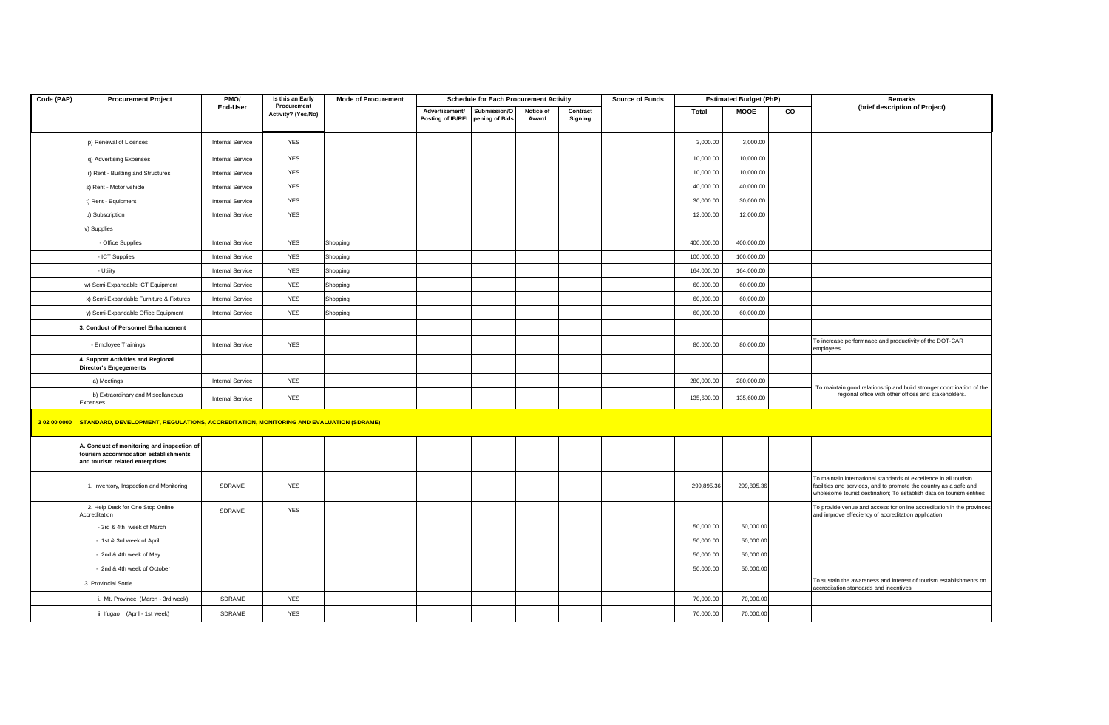| Code (PAP)   | <b>Procurement Project</b>                                                                                            | PMO/                    | Is this an Early                  | <b>Mode of Procurement</b> | <b>Schedule for Each Procurement Activity</b> |              |           |          | <b>Source of Funds</b> | <b>Estimated Budget (PhP)</b> |             |           | Remarks                                                                                                                                                                                                       |
|--------------|-----------------------------------------------------------------------------------------------------------------------|-------------------------|-----------------------------------|----------------------------|-----------------------------------------------|--------------|-----------|----------|------------------------|-------------------------------|-------------|-----------|---------------------------------------------------------------------------------------------------------------------------------------------------------------------------------------------------------------|
|              |                                                                                                                       | End-User                | Procurement<br>Activity? (Yes/No) |                            | Advertisement/                                | Submission/O | Notice of | Contract |                        | Total                         | <b>MOOE</b> | <b>CO</b> | (brief description of Project)                                                                                                                                                                                |
|              |                                                                                                                       |                         |                                   |                            | Posting of IB/REI pening of Bids              |              | Award     | Signing  |                        |                               |             |           |                                                                                                                                                                                                               |
|              | p) Renewal of Licenses                                                                                                | <b>Internal Service</b> | YES                               |                            |                                               |              |           |          |                        | 3,000.00                      | 3,000.00    |           |                                                                                                                                                                                                               |
|              | q) Advertising Expenses                                                                                               | Internal Service        | YES                               |                            |                                               |              |           |          |                        | 10,000.00                     | 10,000.00   |           |                                                                                                                                                                                                               |
|              | r) Rent - Building and Structures                                                                                     | Internal Service        | <b>YES</b>                        |                            |                                               |              |           |          |                        | 10,000.00                     | 10,000.00   |           |                                                                                                                                                                                                               |
|              | s) Rent - Motor vehicle                                                                                               | <b>Internal Service</b> | YES                               |                            |                                               |              |           |          |                        | 40,000.00                     | 40,000.00   |           |                                                                                                                                                                                                               |
|              | t) Rent - Equipment                                                                                                   | Internal Service        | YES                               |                            |                                               |              |           |          |                        | 30,000.00                     | 30,000.00   |           |                                                                                                                                                                                                               |
|              | u) Subscription                                                                                                       | Internal Service        | YES                               |                            |                                               |              |           |          |                        | 12,000.00                     | 12,000.00   |           |                                                                                                                                                                                                               |
|              | v) Supplies                                                                                                           |                         |                                   |                            |                                               |              |           |          |                        |                               |             |           |                                                                                                                                                                                                               |
|              | - Office Supplies                                                                                                     | <b>Internal Service</b> | YES                               | Shopping                   |                                               |              |           |          |                        | 400,000.00                    | 400,000.00  |           |                                                                                                                                                                                                               |
|              | - ICT Supplies                                                                                                        | Internal Service        | <b>YES</b>                        | Shopping                   |                                               |              |           |          |                        | 100,000.00                    | 100,000.00  |           |                                                                                                                                                                                                               |
|              | - Utility                                                                                                             | <b>Internal Service</b> | <b>YES</b>                        | Shopping                   |                                               |              |           |          |                        | 164,000.00                    | 164,000.00  |           |                                                                                                                                                                                                               |
|              | w) Semi-Expandable ICT Equipment                                                                                      | Internal Service        | <b>YES</b>                        | Shopping                   |                                               |              |           |          |                        | 60,000.00                     | 60,000.00   |           |                                                                                                                                                                                                               |
|              | x) Semi-Expandable Furniture & Fixtures                                                                               | <b>Internal Service</b> | <b>YES</b>                        | Shopping                   |                                               |              |           |          |                        | 60,000.00                     | 60,000.00   |           |                                                                                                                                                                                                               |
|              | y) Semi-Expandable Office Equipment                                                                                   | Internal Service        | <b>YES</b>                        | Shopping                   |                                               |              |           |          |                        | 60,000.00                     | 60,000.00   |           |                                                                                                                                                                                                               |
|              | 3. Conduct of Personnel Enhancement                                                                                   |                         |                                   |                            |                                               |              |           |          |                        |                               |             |           |                                                                                                                                                                                                               |
|              | - Employee Trainings                                                                                                  | Internal Service        | <b>YES</b>                        |                            |                                               |              |           |          |                        | 80,000.00                     | 80,000.00   |           | To increase performnace and productivity of the DOT-CAR<br>employees                                                                                                                                          |
|              | 4. Support Activities and Regional<br><b>Director's Engegements</b>                                                   |                         |                                   |                            |                                               |              |           |          |                        |                               |             |           |                                                                                                                                                                                                               |
|              | a) Meetings                                                                                                           | <b>Internal Service</b> | YES                               |                            |                                               |              |           |          |                        | 280,000.00                    | 280,000.00  |           | To maintain good relationship and build stronger coordination of the                                                                                                                                          |
|              | b) Extraordinary and Miscellaneous<br>Expenses                                                                        | Internal Service        | <b>YES</b>                        |                            |                                               |              |           |          |                        | 135,600.00                    | 135,600.00  |           | regional office with other offices and stakeholders.                                                                                                                                                          |
| 3 02 00 0000 | STANDARD, DEVELOPMENT, REGULATIONS, ACCREDITATION, MONITORING AND EVALUATION (SDRAME)                                 |                         |                                   |                            |                                               |              |           |          |                        |                               |             |           |                                                                                                                                                                                                               |
|              | A. Conduct of monitoring and inspection of<br>tourism accommodation establishments<br>and tourism related enterprises |                         |                                   |                            |                                               |              |           |          |                        |                               |             |           |                                                                                                                                                                                                               |
|              | 1. Inventory, Inspection and Monitoring                                                                               | SDRAME                  | <b>YES</b>                        |                            |                                               |              |           |          |                        | 299,895.36                    | 299,895.36  |           | To maintain international standards of excellence in all tourism<br>facilities and services, and to promote the country as a safe and<br>wholesome tourist destination; To establish data on tourism entities |
|              | 2. Help Desk for One Stop Online<br>Accreditation                                                                     | SDRAME                  | YES                               |                            |                                               |              |           |          |                        |                               |             |           | To provide venue and access for online accreditation in the provinces<br>and improve effeciency of accreditation application                                                                                  |
|              | - 3rd & 4th week of March                                                                                             |                         |                                   |                            |                                               |              |           |          |                        | 50,000.00                     | 50,000.00   |           |                                                                                                                                                                                                               |
|              | - 1st & 3rd week of April                                                                                             |                         |                                   |                            |                                               |              |           |          |                        | 50,000.00                     | 50,000.00   |           |                                                                                                                                                                                                               |
|              | - 2nd & 4th week of May                                                                                               |                         |                                   |                            |                                               |              |           |          |                        | 50,000.00                     | 50,000.00   |           |                                                                                                                                                                                                               |
|              | - 2nd & 4th week of October                                                                                           |                         |                                   |                            |                                               |              |           |          |                        | 50,000.00                     | 50,000.00   |           |                                                                                                                                                                                                               |
|              | 3 Provincial Sortie                                                                                                   |                         |                                   |                            |                                               |              |           |          |                        |                               |             |           | To sustain the awareness and interest of tourism establishments on<br>accreditation standards and incentives                                                                                                  |
|              | i. Mt. Province (March - 3rd week)                                                                                    | SDRAME                  | YES                               |                            |                                               |              |           |          |                        | 70,000.00                     | 70,000.00   |           |                                                                                                                                                                                                               |
|              | ii. Ifugao (April - 1st week)                                                                                         | SDRAME                  | <b>YES</b>                        |                            |                                               |              |           |          |                        | 70,000.00                     | 70,000.00   |           |                                                                                                                                                                                                               |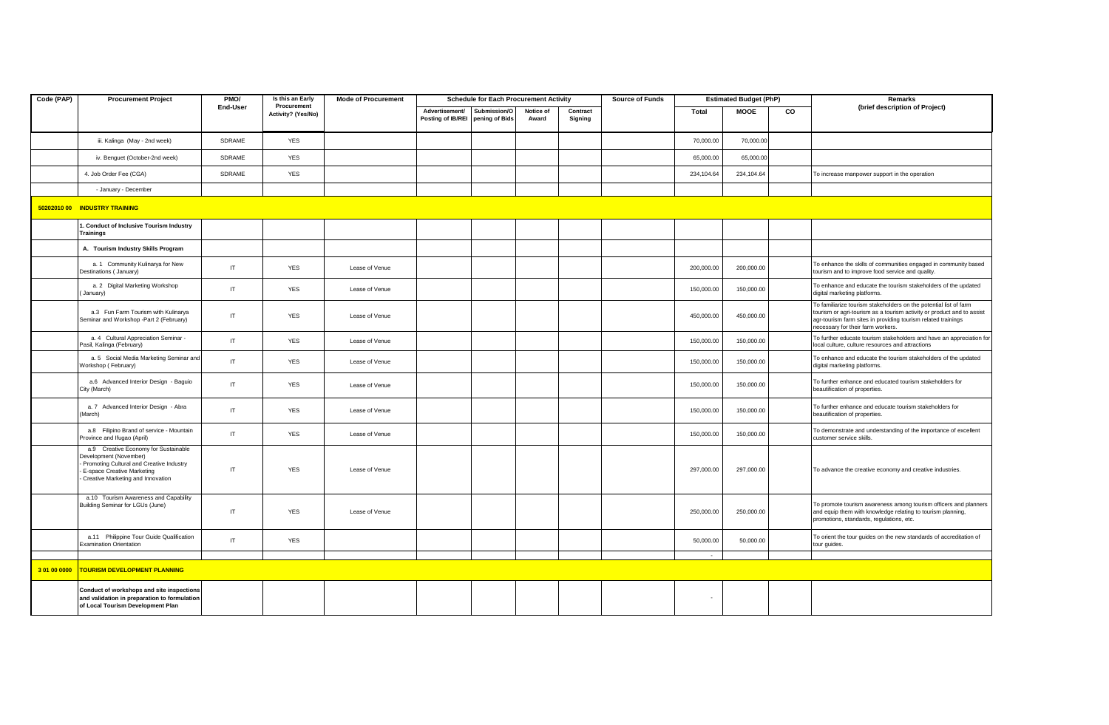| Code (PAP)   | <b>Procurement Project</b>                                                                                                                                                    | PMO/     | Is this an Early                  | <b>Mode of Procurement</b> | <b>Schedule for Each Procurement Activity</b> |                                |                    | <b>Source of Funds</b> |  | <b>Estimated Budget (PhP)</b> |             | Remarks |                                                                                                                                                                                                                                                   |
|--------------|-------------------------------------------------------------------------------------------------------------------------------------------------------------------------------|----------|-----------------------------------|----------------------------|-----------------------------------------------|--------------------------------|--------------------|------------------------|--|-------------------------------|-------------|---------|---------------------------------------------------------------------------------------------------------------------------------------------------------------------------------------------------------------------------------------------------|
|              |                                                                                                                                                                               | End-User | Procurement<br>Activity? (Yes/No) |                            | Advertisement/<br>Posting of IB/REI           | Submission/O<br>pening of Bids | Notice of<br>Award | Contract<br>Signing    |  | Total                         | <b>MOOE</b> | CO      | (brief description of Project)                                                                                                                                                                                                                    |
|              | iii. Kalinga (May - 2nd week)                                                                                                                                                 | SDRAME   | <b>YES</b>                        |                            |                                               |                                |                    |                        |  | 70,000.00                     | 70,000.00   |         |                                                                                                                                                                                                                                                   |
|              | iv. Benguet (October-2nd week)                                                                                                                                                | SDRAME   | <b>YES</b>                        |                            |                                               |                                |                    |                        |  | 65,000.00                     | 65,000.00   |         |                                                                                                                                                                                                                                                   |
|              | 4. Job Order Fee (CGA)                                                                                                                                                        | SDRAME   | <b>YES</b>                        |                            |                                               |                                |                    |                        |  | 234,104.64                    | 234,104.64  |         | To increase manpower support in the operation                                                                                                                                                                                                     |
|              | - January - December                                                                                                                                                          |          |                                   |                            |                                               |                                |                    |                        |  |                               |             |         |                                                                                                                                                                                                                                                   |
|              | 50202010 00 INDUSTRY TRAINING                                                                                                                                                 |          |                                   |                            |                                               |                                |                    |                        |  |                               |             |         |                                                                                                                                                                                                                                                   |
|              | I. Conduct of Inclusive Tourism Industry<br><b>Trainings</b>                                                                                                                  |          |                                   |                            |                                               |                                |                    |                        |  |                               |             |         |                                                                                                                                                                                                                                                   |
|              | A. Tourism Industry Skills Program                                                                                                                                            |          |                                   |                            |                                               |                                |                    |                        |  |                               |             |         |                                                                                                                                                                                                                                                   |
|              | a. 1 Community Kulinarya for New<br>Destinations (January)                                                                                                                    | IT       | <b>YES</b>                        | Lease of Venue             |                                               |                                |                    |                        |  | 200.000.00                    | 200.000.00  |         | To enhance the skills of communities engaged in community based<br>tourism and to improve food service and quality.                                                                                                                               |
|              | a. 2 Digital Marketing Workshop<br>January)                                                                                                                                   | IT       | YES                               | Lease of Venue             |                                               |                                |                    |                        |  | 150,000.00                    | 150,000.00  |         | To enhance and educate the tourism stakeholders of the updated<br>digital marketing platforms.                                                                                                                                                    |
|              | a.3 Fun Farm Tourism with Kulinarya<br>Seminar and Workshop -Part 2 (February)                                                                                                | IT       | <b>YES</b>                        | Lease of Venue             |                                               |                                |                    |                        |  | 450,000.00                    | 450,000.00  |         | To familiarize tourism stakeholders on the potential list of farm<br>tourism or agri-tourism as a tourism activity or product and to assist<br>agr-tourism farm sites in providing tourism related trainings<br>necessary for their farm workers. |
|              | a. 4 Cultural Appreciation Seminar -<br>Pasil, Kalinga (February)                                                                                                             | IT       | <b>YES</b>                        | Lease of Venue             |                                               |                                |                    |                        |  | 150,000.00                    | 150,000.00  |         | To further educate tourism stakeholders and have an appreciation for<br>local culture, culture resources and attractions                                                                                                                          |
|              | a. 5 Social Media Marketing Seminar and<br>Vorkshop (February)                                                                                                                | IT       | YES                               | Lease of Venue             |                                               |                                |                    |                        |  | 150,000.00                    | 150,000.00  |         | To enhance and educate the tourism stakeholders of the updated<br>digital marketing platforms.                                                                                                                                                    |
|              | a.6 Advanced Interior Design - Baguio<br>City (March)                                                                                                                         | IT       | <b>YES</b>                        | Lease of Venue             |                                               |                                |                    |                        |  | 150,000.00                    | 150,000.00  |         | To further enhance and educated tourism stakeholders for<br>beautification of properties.                                                                                                                                                         |
|              | a. 7 Advanced Interior Design - Abra<br>March)                                                                                                                                | IT       | YES                               | Lease of Venue             |                                               |                                |                    |                        |  | 150,000.00                    | 150,000.00  |         | To further enhance and educate tourism stakeholders for<br>beautification of properties.                                                                                                                                                          |
|              | a.8 Filipino Brand of service - Mountain<br>rovince and Ifugao (April)                                                                                                        | IT       | <b>YES</b>                        | Lease of Venue             |                                               |                                |                    |                        |  | 150,000.00                    | 150,000.00  |         | To demonstrate and understanding of the importance of excellent<br>customer service skills.                                                                                                                                                       |
|              | a.9 Creative Economy for Sustainable<br>Development (November)<br>Promoting Cultural and Creative Industry<br>E-space Creative Marketing<br>Creative Marketing and Innovation | IT       | <b>YES</b>                        | Lease of Venue             |                                               |                                |                    |                        |  | 297,000.00                    | 297,000.00  |         | To advance the creative economy and creative industries.                                                                                                                                                                                          |
|              | a.10 Tourism Awareness and Capability<br>Building Seminar for LGUs (June)                                                                                                     | IT       | YES                               | Lease of Venue             |                                               |                                |                    |                        |  | 250,000.00                    | 250,000.00  |         | To promote tourism awareness among tourism officers and planners<br>and equip them with knowledge relating to tourism planning,<br>promotions, standards, regulations, etc.                                                                       |
|              | a.11 Philippine Tour Guide Qualification<br>Examination Orientation                                                                                                           | IT       | <b>YES</b>                        |                            |                                               |                                |                    |                        |  | 50,000.00                     | 50,000.00   |         | To orient the tour guides on the new standards of accreditation of<br>tour guides.                                                                                                                                                                |
|              |                                                                                                                                                                               |          |                                   |                            |                                               |                                |                    |                        |  | $\sim$                        |             |         |                                                                                                                                                                                                                                                   |
| 3 01 00 0000 | <b>TOURISM DEVELOPMENT PLANNING</b>                                                                                                                                           |          |                                   |                            |                                               |                                |                    |                        |  |                               |             |         |                                                                                                                                                                                                                                                   |
|              | Conduct of workshops and site inspections<br>and validation in preparation to formulation<br>of Local Tourism Development Plan                                                |          |                                   |                            |                                               |                                |                    |                        |  | $\overline{\phantom{a}}$      |             |         |                                                                                                                                                                                                                                                   |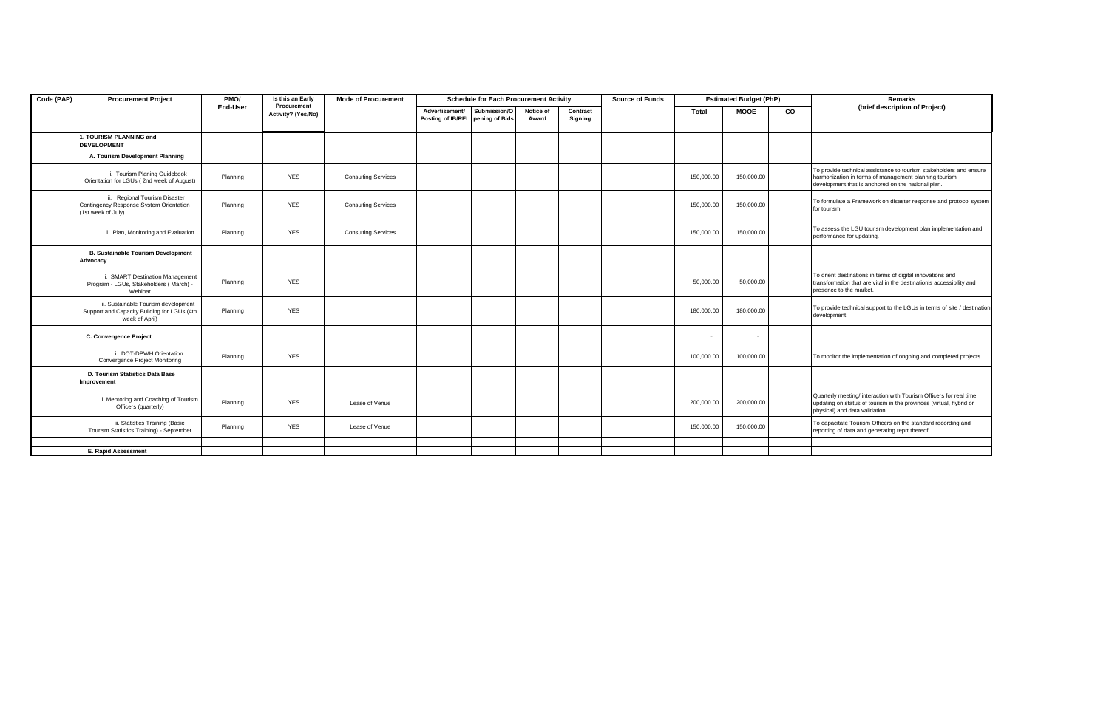| Code (PAP) | <b>Procurement Project</b>                                                                           | PMO/     | Is this an Early                  | <b>Mode of Procurement</b> | <b>Schedule for Each Procurement Activity</b> |                                |                    |                     | <b>Source of Funds</b> |            | <b>Estimated Budget (PhP)</b> |    | Remarks                                                                                                                                                                           |  |
|------------|------------------------------------------------------------------------------------------------------|----------|-----------------------------------|----------------------------|-----------------------------------------------|--------------------------------|--------------------|---------------------|------------------------|------------|-------------------------------|----|-----------------------------------------------------------------------------------------------------------------------------------------------------------------------------------|--|
|            |                                                                                                      | End-User | Procurement<br>Activity? (Yes/No) |                            | Advertisement/<br>Posting of IB/REI           | Submission/O<br>pening of Bids | Notice of<br>Award | Contract<br>Signing |                        | Total      | <b>MOOE</b>                   | CO | (brief description of Project)                                                                                                                                                    |  |
|            | 1. TOURISM PLANNING and<br><b>DEVELOPMENT</b>                                                        |          |                                   |                            |                                               |                                |                    |                     |                        |            |                               |    |                                                                                                                                                                                   |  |
|            | A. Tourism Development Planning                                                                      |          |                                   |                            |                                               |                                |                    |                     |                        |            |                               |    |                                                                                                                                                                                   |  |
|            | i. Tourism Planing Guidebook<br>Orientation for LGUs (2nd week of August)                            | Planning | <b>YES</b>                        | <b>Consulting Services</b> |                                               |                                |                    |                     |                        | 150,000.00 | 150,000.00                    |    | To provide technical assistance to tourism stakeholders and ensure<br>harmonization in terms of management planning tourism<br>development that is anchored on the national plan. |  |
|            | ii. Regional Tourism Disaster<br>Contingency Response System Orientation<br>(1st week of July)       | Planning | <b>YES</b>                        | <b>Consulting Services</b> |                                               |                                |                    |                     |                        | 150,000.00 | 150,000.00                    |    | To formulate a Framework on disaster response and protocol system<br>for tourism.                                                                                                 |  |
|            | ii. Plan, Monitoring and Evaluation                                                                  | Planning | <b>YES</b>                        | <b>Consulting Services</b> |                                               |                                |                    |                     |                        | 150,000.00 | 150,000.00                    |    | To assess the LGU tourism development plan implementation and<br>performance for updating.                                                                                        |  |
|            | <b>B. Sustainable Tourism Development</b><br>Advocacy                                                |          |                                   |                            |                                               |                                |                    |                     |                        |            |                               |    |                                                                                                                                                                                   |  |
|            | i. SMART Destination Management<br>Program - LGUs, Stakeholders (March) -<br>Webinar                 | Planning | <b>YES</b>                        |                            |                                               |                                |                    |                     |                        | 50,000.00  | 50,000.00                     |    | To orient destinations in terms of digital innovations and<br>transformation that are vital in the destination's accessibility and<br>presence to the market.                     |  |
|            | ii. Sustainable Tourism development<br>Support and Capacity Building for LGUs (4th<br>week of April) | Planning | <b>YES</b>                        |                            |                                               |                                |                    |                     |                        | 180,000.00 | 180,000.00                    |    | To provide technical support to the LGUs in terms of site / destination<br>development.                                                                                           |  |
|            | C. Convergence Project                                                                               |          |                                   |                            |                                               |                                |                    |                     |                        |            |                               |    |                                                                                                                                                                                   |  |
|            | i. DOT-DPWH Orientation<br>Convergence Project Monitoring                                            | Planning | <b>YES</b>                        |                            |                                               |                                |                    |                     |                        | 100,000.00 | 100,000.00                    |    | To monitor the implementation of ongoing and completed projects.                                                                                                                  |  |
|            | D. Tourism Statistics Data Base<br>Improvement                                                       |          |                                   |                            |                                               |                                |                    |                     |                        |            |                               |    |                                                                                                                                                                                   |  |
|            | i. Mentoring and Coaching of Tourism<br>Officers (quarterly)                                         | Planning | <b>YES</b>                        | Lease of Venue             |                                               |                                |                    |                     |                        | 200.000.00 | 200,000.00                    |    | Quarterly meeting/ interaction with Tourism Officers for real time<br>updating on status of tourism in the provinces (virtual, hybrid or<br>physical) and data validation.        |  |
|            | ii. Statistics Training (Basic<br>Tourism Statistics Training) - September                           | Planning | <b>YES</b>                        | Lease of Venue             |                                               |                                |                    |                     |                        | 150,000.00 | 150,000.00                    |    | To capacitate Tourism Officers on the standard recording and<br>reporting of data and generating reprt thereof.                                                                   |  |
|            |                                                                                                      |          |                                   |                            |                                               |                                |                    |                     |                        |            |                               |    |                                                                                                                                                                                   |  |
|            | <b>E. Rapid Assessment</b>                                                                           |          |                                   |                            |                                               |                                |                    |                     |                        |            |                               |    |                                                                                                                                                                                   |  |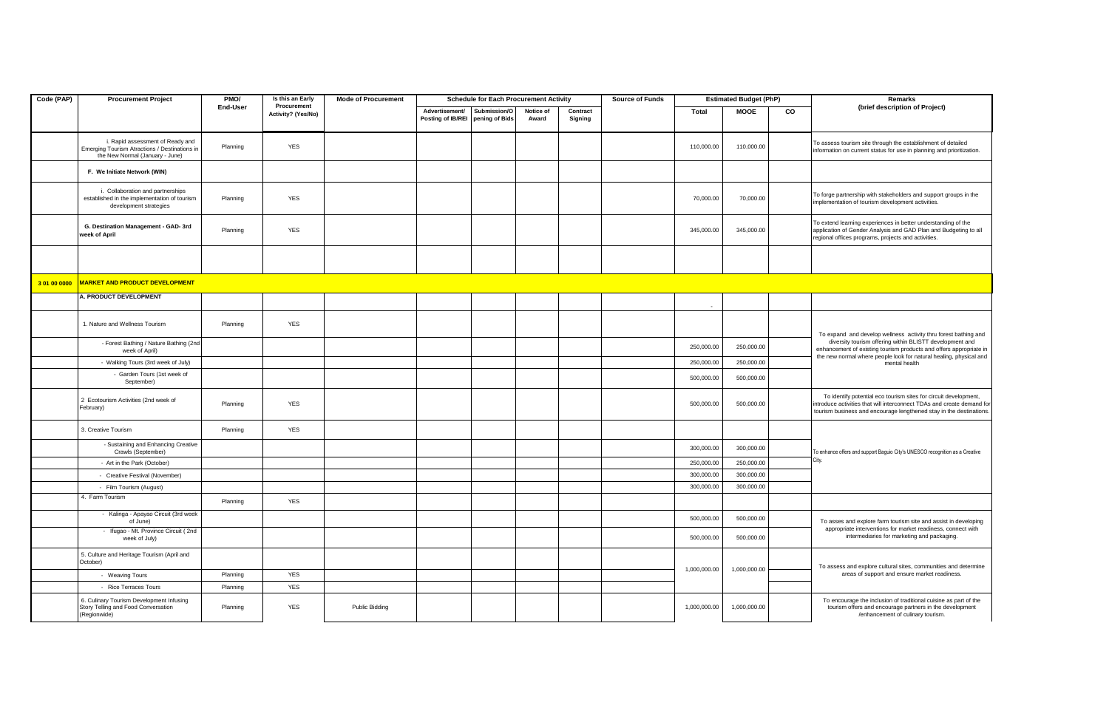| Code (PAP)   | <b>Procurement Project</b>                                                                                           | PMO/     | Is this an Early<br>Procurement | <b>Mode of Procurement</b> |                                     | <b>Schedule for Each Procurement Activity</b> |                    |                     | <b>Source of Funds</b> |              | <b>Estimated Budget (PhP)</b> |    | <b>Remarks</b>                                                                                                                                                                                                    |  |
|--------------|----------------------------------------------------------------------------------------------------------------------|----------|---------------------------------|----------------------------|-------------------------------------|-----------------------------------------------|--------------------|---------------------|------------------------|--------------|-------------------------------|----|-------------------------------------------------------------------------------------------------------------------------------------------------------------------------------------------------------------------|--|
|              |                                                                                                                      | End-User | Activity? (Yes/No)              |                            | Advertisement/<br>Posting of IB/REI | Submission/O<br>pening of Bids                | Notice of<br>Award | Contract<br>Signing |                        | Total        | <b>MOOE</b>                   | CO | (brief description of Project)                                                                                                                                                                                    |  |
|              | i. Rapid assessment of Ready and<br>Emerging Tourism Atractions / Destinations in<br>the New Normal (January - June) | Planning | <b>YES</b>                      |                            |                                     |                                               |                    |                     |                        | 110,000.00   | 110,000.00                    |    | To assess tourism site through the establishment of detailed<br>information on current status for use in planning and prioritization.                                                                             |  |
|              | F. We Initiate Network (WIN)                                                                                         |          |                                 |                            |                                     |                                               |                    |                     |                        |              |                               |    |                                                                                                                                                                                                                   |  |
|              | i. Collaboration and partnerships<br>established in the implementation of tourism<br>development strategies          | Planning | <b>YES</b>                      |                            |                                     |                                               |                    |                     |                        | 70,000.00    | 70,000.00                     |    | To forge partnership with stakeholders and support groups in the<br>implementation of tourism development activities.                                                                                             |  |
|              | G. Destination Management - GAD- 3rd<br>week of April                                                                | Planning | <b>YES</b>                      |                            |                                     |                                               |                    |                     |                        | 345,000.00   | 345,000.00                    |    | To extend learning experiences in better understanding of the<br>application of Gender Analysis and GAD Plan and Budgeting to all<br>regional offices programs, projects and activities.                          |  |
|              |                                                                                                                      |          |                                 |                            |                                     |                                               |                    |                     |                        |              |                               |    |                                                                                                                                                                                                                   |  |
| 3 01 00 0000 | <b>MARKET AND PRODUCT DEVELOPMENT</b>                                                                                |          |                                 |                            |                                     |                                               |                    |                     |                        |              |                               |    |                                                                                                                                                                                                                   |  |
|              | A. PRODUCT DEVELOPMENT                                                                                               |          |                                 |                            |                                     |                                               |                    |                     |                        |              |                               |    |                                                                                                                                                                                                                   |  |
|              | 1. Nature and Wellness Tourism                                                                                       | Planning | <b>YES</b>                      |                            |                                     |                                               |                    |                     |                        |              |                               |    | To expand and develop wellness activity thru forest bathing and                                                                                                                                                   |  |
|              | - Forest Bathing / Nature Bathing (2nd<br>week of April)                                                             |          |                                 |                            |                                     |                                               |                    |                     |                        | 250,000.00   | 250,000.00                    |    | diversity tourism offering within BLISTT development and<br>enhancement of existing tourism products and offers appropriate in                                                                                    |  |
|              | - Walking Tours (3rd week of July)                                                                                   |          |                                 |                            |                                     |                                               |                    |                     |                        | 250,000.00   | 250,000.00                    |    | the new normal where people look for natural healing, physical and<br>mental health                                                                                                                               |  |
|              | - Garden Tours (1st week of<br>September)                                                                            |          |                                 |                            |                                     |                                               |                    |                     |                        | 500,000.00   | 500,000.00                    |    |                                                                                                                                                                                                                   |  |
|              | 2 Ecotourism Activities (2nd week of<br>February)                                                                    | Planning | <b>YES</b>                      |                            |                                     |                                               |                    |                     |                        | 500,000.00   | 500,000.00                    |    | To identify potential eco tourism sites for circuit development,<br>introduce activities that will interconnect TDAs and create demand for<br>tourism business and encourage lengthened stay in the destinations. |  |
|              | 3. Creative Tourism                                                                                                  | Planning | <b>YES</b>                      |                            |                                     |                                               |                    |                     |                        |              |                               |    |                                                                                                                                                                                                                   |  |
|              | - Sustaining and Enhancing Creative<br>Crawls (September)                                                            |          |                                 |                            |                                     |                                               |                    |                     |                        | 300,000.00   | 300,000.00                    |    | To enhance offers and support Baguio City's UNESCO recognition as a Creative                                                                                                                                      |  |
|              | - Art in the Park (October)                                                                                          |          |                                 |                            |                                     |                                               |                    |                     |                        | 250,000.00   | 250,000.00                    |    | City.                                                                                                                                                                                                             |  |
|              | - Creative Festival (November)                                                                                       |          |                                 |                            |                                     |                                               |                    |                     |                        | 300,000.00   | 300,000.00                    |    |                                                                                                                                                                                                                   |  |
|              | - Film Tourism (August)                                                                                              |          |                                 |                            |                                     |                                               |                    |                     |                        | 300,000.00   | 300,000.00                    |    |                                                                                                                                                                                                                   |  |
|              | 4. Farm Tourism                                                                                                      | Planning | <b>YES</b>                      |                            |                                     |                                               |                    |                     |                        |              |                               |    |                                                                                                                                                                                                                   |  |
|              | - Kalinga - Apayao Circuit (3rd week<br>of June)                                                                     |          |                                 |                            |                                     |                                               |                    |                     |                        | 500,000.00   | 500,000.00                    |    | To asses and explore farm tourism site and assist in developing                                                                                                                                                   |  |
|              | - Ifugao - Mt. Province Circuit (2nd<br>week of July)                                                                |          |                                 |                            |                                     |                                               |                    |                     |                        | 500,000.00   | 500,000.00                    |    | appropriate interventions for market readiness, connect with<br>intermediaries for marketing and packaging.                                                                                                       |  |
|              | 5. Culture and Heritage Tourism (April and<br>October)                                                               |          |                                 |                            |                                     |                                               |                    |                     |                        |              |                               |    | To assess and explore cultural sites, communities and determine                                                                                                                                                   |  |
|              | - Weaving Tours                                                                                                      | Planning | <b>YES</b>                      |                            |                                     |                                               |                    |                     |                        | 1,000,000.00 | 1,000,000.00                  |    | areas of support and ensure market readiness.                                                                                                                                                                     |  |
|              | - Rice Terraces Tours                                                                                                | Planning | <b>YES</b>                      |                            |                                     |                                               |                    |                     |                        |              |                               |    |                                                                                                                                                                                                                   |  |
|              | 6. Culinary Tourism Development Infusing<br>Story Telling and Food Conversation<br>(Regionwide)                      | Planning | YES                             | Public Bidding             |                                     |                                               |                    |                     |                        | 1,000,000.00 | 1,000,000.00                  |    | To encourage the inclusion of traditional cuisine as part of the<br>tourism offers and encourage partners in the development<br>/enhancement of culinary tourism.                                                 |  |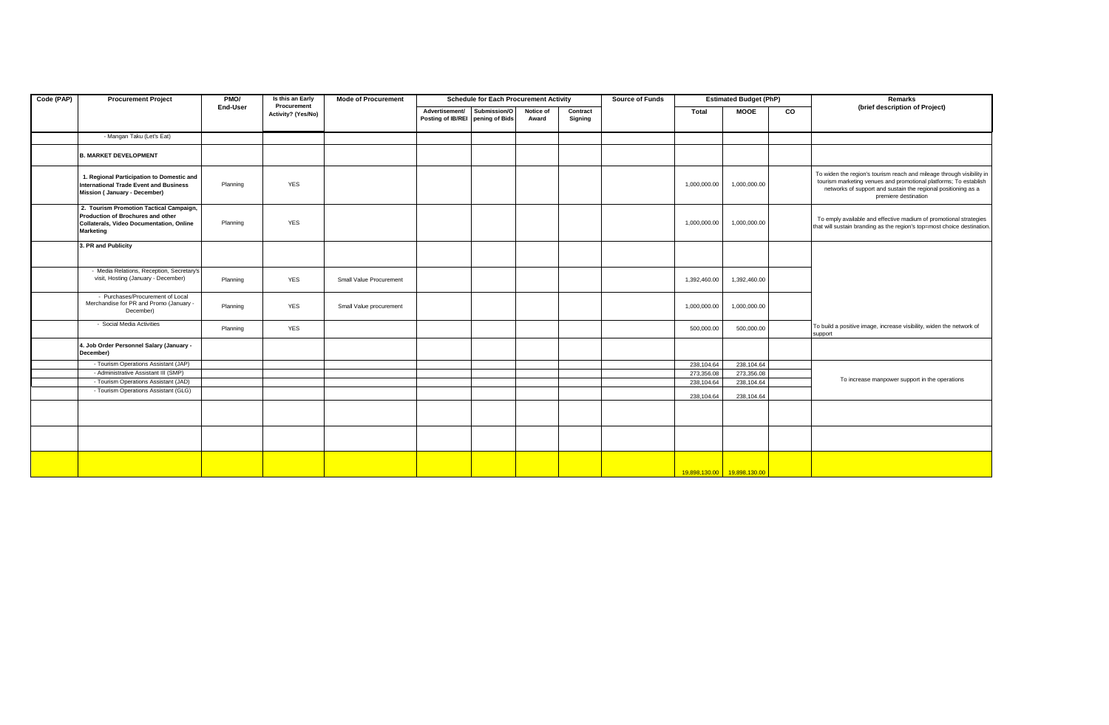| Code (PAP) | <b>Procurement Project</b>                                                                                                            | PMO/     | <b>Schedule for Each Procurement Activity</b><br>Is this an Early<br><b>Mode of Procurement</b> |                         |                                                    |              |                    | <b>Source of Funds</b> |  | <b>Estimated Budget (PhP)</b> |                             | Remarks   |                                                                                                                                                                                                                                    |
|------------|---------------------------------------------------------------------------------------------------------------------------------------|----------|-------------------------------------------------------------------------------------------------|-------------------------|----------------------------------------------------|--------------|--------------------|------------------------|--|-------------------------------|-----------------------------|-----------|------------------------------------------------------------------------------------------------------------------------------------------------------------------------------------------------------------------------------------|
|            |                                                                                                                                       | End-User | Procurement<br>Activity? (Yes/No)                                                               |                         | Advertisement/<br>Posting of IB/REI pening of Bids | Submission/O | Notice of<br>Award | Contract<br>Signing    |  | Total                         | <b>MOOE</b>                 | <b>CO</b> | (brief description of Project)                                                                                                                                                                                                     |
|            | - Mangan Taku (Let's Eat)                                                                                                             |          |                                                                                                 |                         |                                                    |              |                    |                        |  |                               |                             |           |                                                                                                                                                                                                                                    |
|            | <b>B. MARKET DEVELOPMENT</b>                                                                                                          |          |                                                                                                 |                         |                                                    |              |                    |                        |  |                               |                             |           |                                                                                                                                                                                                                                    |
|            | 1. Regional Participation to Domestic and<br><b>International Trade Event and Business</b><br>Mission ( January - December)           | Planning | <b>YES</b>                                                                                      |                         |                                                    |              |                    |                        |  | 1,000,000.00                  | 1,000,000.00                |           | To widen the region's tourism reach and mileage through visibility in<br>tourism marketing venues and promotional platforms; To establish<br>networks of support and sustain the regional positioning as a<br>premiere destination |
|            | 2. Tourism Promotion Tactical Campaign,<br>Production of Brochures and other<br>Collaterals, Video Documentation, Online<br>Marketing | Planning | <b>YES</b>                                                                                      |                         |                                                    |              |                    |                        |  | 1,000,000.00                  | 1,000,000.00                |           | To emply available and effective madium of promotional strategies<br>that will sustain branding as the region's top=most choice destination.                                                                                       |
|            | 3. PR and Publicity                                                                                                                   |          |                                                                                                 |                         |                                                    |              |                    |                        |  |                               |                             |           |                                                                                                                                                                                                                                    |
|            | - Media Relations, Reception, Secretary's<br>visit, Hosting (January - December)                                                      | Planning | YES                                                                                             | Small Value Procurement |                                                    |              |                    |                        |  | 1,392,460.00                  | 1,392,460.00                |           |                                                                                                                                                                                                                                    |
|            | - Purchases/Procurement of Local<br>Merchandise for PR and Promo (January -<br>December)                                              | Planning | <b>YES</b>                                                                                      | Small Value procurement |                                                    |              |                    |                        |  | 1,000,000.00                  | 1,000,000.00                |           |                                                                                                                                                                                                                                    |
|            | - Social Media Activities                                                                                                             | Planning | <b>YES</b>                                                                                      |                         |                                                    |              |                    |                        |  | 500,000.00                    | 500,000.00                  |           | To build a positive image, increase visibility, widen the network of<br>support                                                                                                                                                    |
|            | 4. Job Order Personnel Salary (January -<br>December)                                                                                 |          |                                                                                                 |                         |                                                    |              |                    |                        |  |                               |                             |           |                                                                                                                                                                                                                                    |
|            | - Tourism Operations Assistant (JAP)                                                                                                  |          |                                                                                                 |                         |                                                    |              |                    |                        |  | 238,104.64                    | 238,104.64                  |           |                                                                                                                                                                                                                                    |
|            | - Administrative Assistant III (SMP)                                                                                                  |          |                                                                                                 |                         |                                                    |              |                    |                        |  | 273,356.08                    | 273,356.08                  |           |                                                                                                                                                                                                                                    |
|            | - Tourism Operations Assistant (JAD)                                                                                                  |          |                                                                                                 |                         |                                                    |              |                    |                        |  | 238,104.64                    | 238,104.64                  |           | To increase manpower support in the operations                                                                                                                                                                                     |
|            | - Tourism Operations Assistant (GLG)                                                                                                  |          |                                                                                                 |                         |                                                    |              |                    |                        |  | 238,104.64                    | 238,104.64                  |           |                                                                                                                                                                                                                                    |
|            |                                                                                                                                       |          |                                                                                                 |                         |                                                    |              |                    |                        |  |                               |                             |           |                                                                                                                                                                                                                                    |
|            |                                                                                                                                       |          |                                                                                                 |                         |                                                    |              |                    |                        |  |                               |                             |           |                                                                                                                                                                                                                                    |
|            |                                                                                                                                       |          |                                                                                                 |                         |                                                    |              |                    |                        |  |                               | 19,898,130.00 19,898,130.00 |           |                                                                                                                                                                                                                                    |